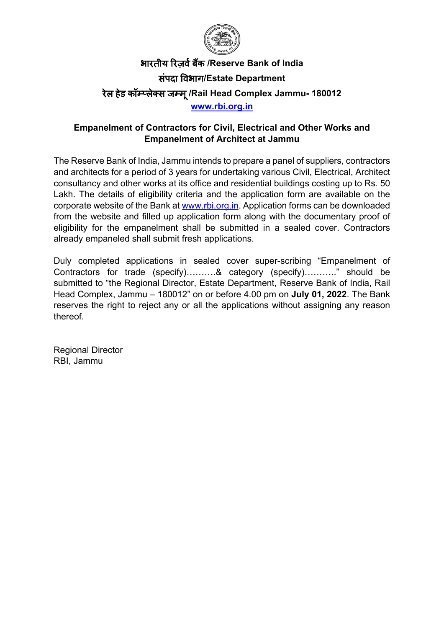

# भारतीय �रज़वर्बक� **/Reserve Bank of India** संपदा �वभाग**/Estate Department** रेल हेड कॉम्प्लेक्स जम्मू**/Rail Head Complex Jammu- 180012 [www.rbi.org.in](https://www.rbi.org.in/)**

### **Empanelment of Contractors for Civil, Electrical and Other Works and Empanelment of Architect at Jammu**

The Reserve Bank of India, Jammu intends to prepare a panel of suppliers, contractors and architects for a period of 3 years for undertaking various Civil, Electrical, Architect consultancy and other works at its office and residential buildings costing up to Rs. 50 Lakh. The details of eligibility criteria and the application form are available on the corporate website of the Bank at [www.rbi.org.in.](https://www.rbi.org.in/) Application forms can be downloaded from the website and filled up application form along with the documentary proof of eligibility for the empanelment shall be submitted in a sealed cover. Contractors already empaneled shall submit fresh applications.

Duly completed applications in sealed cover super-scribing "Empanelment of Contractors for trade (specify)……….& category (specify)……….." should be submitted to "the Regional Director, Estate Department, Reserve Bank of India, Rail Head Complex, Jammu – 180012" on or before 4.00 pm on **July 01, 2022**. The Bank reserves the right to reject any or all the applications without assigning any reason thereof.

Regional Director RBI, Jammu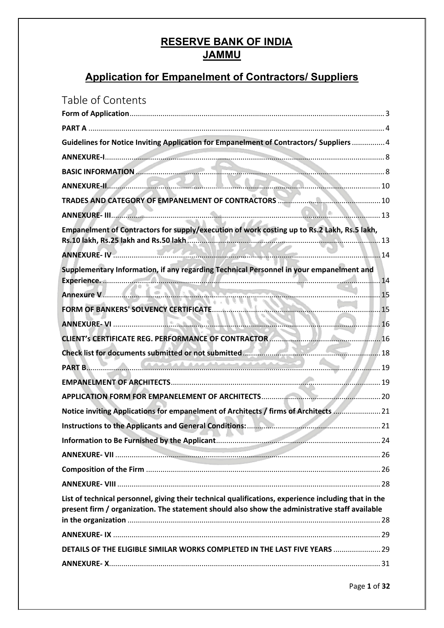# **RESERVE BANK OF INDIA JAMMU**

# **Application for Empanelment of Contractors/ Suppliers**

| ANNEXURE-II. 40<br>Empanelment of Contractors for supply/execution of work costing up to Rs.2 Lakh, Rs.5 lakh,<br>Supplementary Information, if any regarding Technical Personnel in your empanelment and<br>CLIENT's CERTIFICATE REG. PERFORMANCE OF CONTRACTOR<br><b>PART B.</b> 49<br>Notice inviting Applications for empanelment of Architects / firms of Architects  21<br>and the contract |
|---------------------------------------------------------------------------------------------------------------------------------------------------------------------------------------------------------------------------------------------------------------------------------------------------------------------------------------------------------------------------------------------------|
| Guidelines for Notice Inviting Application for Empanelment of Contractors/ Suppliers  4                                                                                                                                                                                                                                                                                                           |
|                                                                                                                                                                                                                                                                                                                                                                                                   |
|                                                                                                                                                                                                                                                                                                                                                                                                   |
|                                                                                                                                                                                                                                                                                                                                                                                                   |
|                                                                                                                                                                                                                                                                                                                                                                                                   |
|                                                                                                                                                                                                                                                                                                                                                                                                   |
|                                                                                                                                                                                                                                                                                                                                                                                                   |
|                                                                                                                                                                                                                                                                                                                                                                                                   |
|                                                                                                                                                                                                                                                                                                                                                                                                   |
|                                                                                                                                                                                                                                                                                                                                                                                                   |
|                                                                                                                                                                                                                                                                                                                                                                                                   |
|                                                                                                                                                                                                                                                                                                                                                                                                   |
|                                                                                                                                                                                                                                                                                                                                                                                                   |
|                                                                                                                                                                                                                                                                                                                                                                                                   |
|                                                                                                                                                                                                                                                                                                                                                                                                   |
|                                                                                                                                                                                                                                                                                                                                                                                                   |
|                                                                                                                                                                                                                                                                                                                                                                                                   |
|                                                                                                                                                                                                                                                                                                                                                                                                   |
|                                                                                                                                                                                                                                                                                                                                                                                                   |
|                                                                                                                                                                                                                                                                                                                                                                                                   |
|                                                                                                                                                                                                                                                                                                                                                                                                   |
|                                                                                                                                                                                                                                                                                                                                                                                                   |
|                                                                                                                                                                                                                                                                                                                                                                                                   |
|                                                                                                                                                                                                                                                                                                                                                                                                   |
|                                                                                                                                                                                                                                                                                                                                                                                                   |
| List of technical personnel, giving their technical qualifications, experience including that in the<br>present firm / organization. The statement should also show the administrative staff available                                                                                                                                                                                            |
|                                                                                                                                                                                                                                                                                                                                                                                                   |
| DETAILS OF THE ELIGIBLE SIMILAR WORKS COMPLETED IN THE LAST FIVE YEARS  29                                                                                                                                                                                                                                                                                                                        |
|                                                                                                                                                                                                                                                                                                                                                                                                   |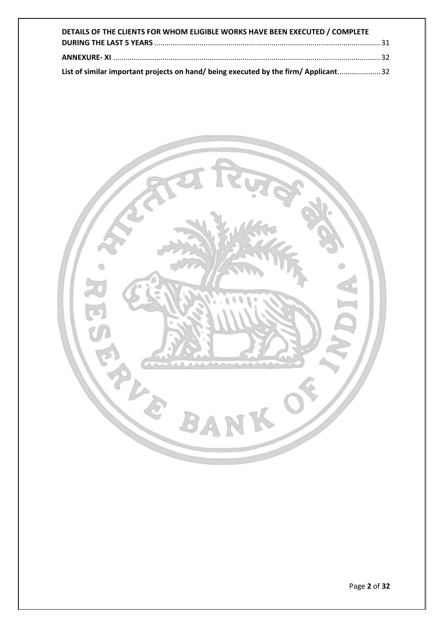| DETAILS OF THE CLIENTS FOR WHOM ELIGIBLE WORKS HAVE BEEN EXECUTED / COMPLETE        |  |
|-------------------------------------------------------------------------------------|--|
|                                                                                     |  |
|                                                                                     |  |
| List of similar important projects on hand/ being executed by the firm/ Applicant32 |  |

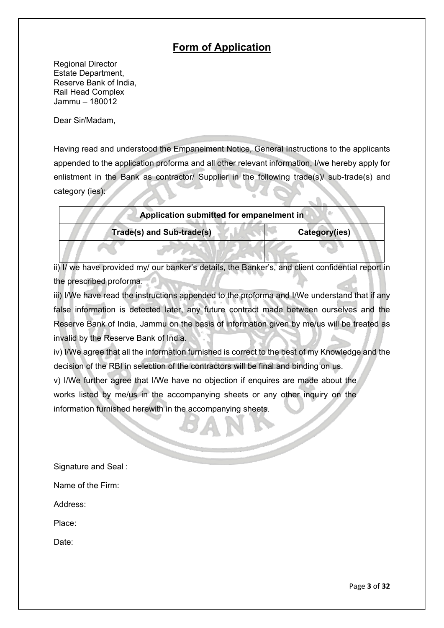## **Form of Application**

<span id="page-3-0"></span>Regional Director Estate Department, Reserve Bank of India, Rail Head Complex Jammu – 180012

Dear Sir/Madam,

Having read and understood the Empanelment Notice, General Instructions to the applicants appended to the application proforma and all other relevant information, I/we hereby apply for enlistment in the Bank as contractor/ Supplier in the following trade(s)/ sub-trade(s) and category (ies):

| Application submitted for empanelment in |  |                                  |               |  |  |
|------------------------------------------|--|----------------------------------|---------------|--|--|
|                                          |  | <b>Trade(s) and Sub-trade(s)</b> | Category(ies) |  |  |
|                                          |  |                                  |               |  |  |

ii) I/ we have provided my/ our banker's details, the Banker's, and client confidential report in the prescribed proforma.

iii) I/We have read the instructions appended to the proforma and I/We understand that if any false information is detected later, any future contract made between ourselves and the Reserve Bank of India, Jammu on the basis of information given by me/us will be treated as invalid by the Reserve Bank of India.

iv) I/We agree that all the information furnished is correct to the best of my Knowledge and the decision of the RBI in selection of the contractors will be final and binding on us.

v) I/We further agree that I/We have no objection if enquires are made about the works listed by me/us in the accompanying sheets or any other inquiry on the information furnished herewith in the accompanying sheets.

Signature and Seal :

Address:

Place:

Date: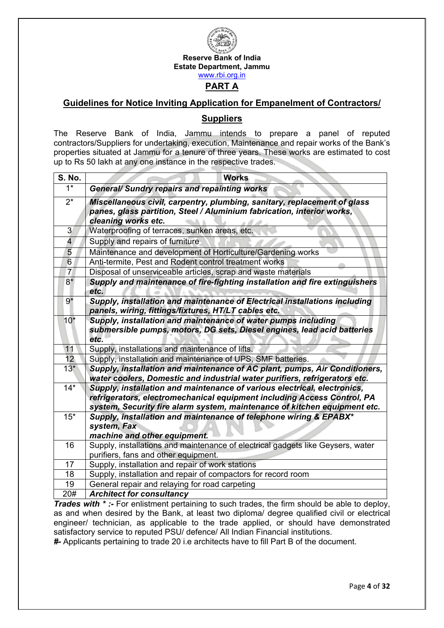

#### <span id="page-4-1"></span><span id="page-4-0"></span>**Guidelines for Notice Inviting Application for Empanelment of Contractors/**

#### **Suppliers**

The Reserve Bank of India, Jammu intends to prepare a panel of reputed contractors/Suppliers for undertaking, execution, Maintenance and repair works of the Bank's properties situated at Jammu for a tenure of three years. These works are estimated to cost up to Rs 50 lakh at any one instance in the respective trades.

| <b>S. No.</b>           | <b>Works</b>                                                                                                                                                                                                                     |
|-------------------------|----------------------------------------------------------------------------------------------------------------------------------------------------------------------------------------------------------------------------------|
| $1*$                    | <b>General/ Sundry repairs and repainting works</b>                                                                                                                                                                              |
| $\overline{2^*}$        | Miscellaneous civil, carpentry, plumbing, sanitary, replacement of glass<br>panes, glass partition, Steel / Aluminium fabrication, interior works,<br>cleaning works etc.                                                        |
| 3                       | Waterproofing of terraces, sunken areas, etc.                                                                                                                                                                                    |
| $\overline{\mathbf{4}}$ | Supply and repairs of furniture                                                                                                                                                                                                  |
| 5                       | Maintenance and development of Horticulture/Gardening works                                                                                                                                                                      |
| 6                       | Anti-termite, Pest and Rodent control treatment works                                                                                                                                                                            |
| 7 <sup>1</sup>          | Disposal of unserviceable articles, scrap and waste materials                                                                                                                                                                    |
| $8*$                    | Supply and maintenance of fire-fighting installation and fire extinguishers<br>etc.                                                                                                                                              |
| $9*$                    | Supply, installation and maintenance of Electrical installations including<br>panels, wiring, fittings/fixtures, HT/LT cables etc.                                                                                               |
| $10*$                   | Supply, installation and maintenance of water pumps including<br>submersible pumps, motors, DG sets, Diesel engines, lead acid batteries<br>etc.                                                                                 |
| 11                      | Supply, installations and maintenance of lifts.                                                                                                                                                                                  |
| 12                      | Supply, installation and maintenance of UPS, SMF batteries.                                                                                                                                                                      |
| $13*$                   | Supply, installation and maintenance of AC plant, pumps, Air Conditioners,<br>water coolers, Domestic and industrial water purifiers, refrigerators etc.                                                                         |
| $\overline{14}^*$       | Supply, installation and maintenance of various electrical, electronics,<br>refrigerators, electromechanical equipment including Access Control, PA<br>system, Security fire alarm system, maintenance of kitchen equipment etc. |
| $15*$                   | Supply, installation and maintenance of telephone wiring & EPABX*<br>system, Fax<br>machine and other equipment.                                                                                                                 |
| 16                      | Supply, installations and maintenance of electrical gadgets like Geysers, water                                                                                                                                                  |
|                         | purifiers, fans and other equipment.                                                                                                                                                                                             |
| 17                      | Supply, installation and repair of work stations                                                                                                                                                                                 |
| 18                      | Supply, installation and repair of compactors for record room                                                                                                                                                                    |
| 19                      | General repair and relaying for road carpeting                                                                                                                                                                                   |
| 20#                     | <b>Architect for consultancy</b>                                                                                                                                                                                                 |

*Trades with \* :-* For enlistment pertaining to such trades, the firm should be able to deploy, as and when desired by the Bank, at least two diploma/ degree qualified civil or electrical engineer/ technician, as applicable to the trade applied, or should have demonstrated satisfactory service to reputed PSU/ defence/ All Indian Financial institutions.

*#-* Applicants pertaining to trade 20 i.e architects have to fill Part B of the document.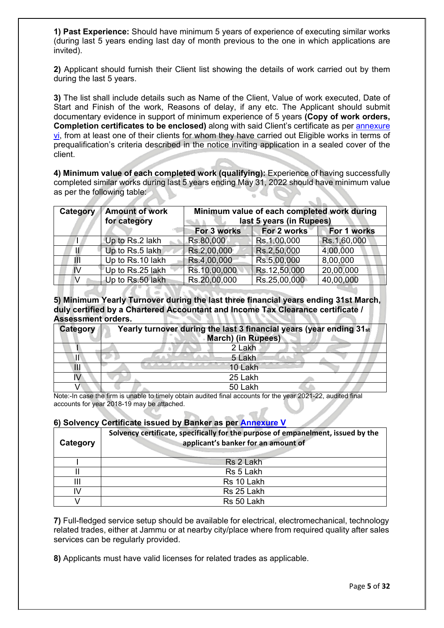**1) Past Experience:** Should have minimum 5 years of experience of executing similar works (during last 5 years ending last day of month previous to the one in which applications are invited).

**2)** Applicant should furnish their Client list showing the details of work carried out by them during the last 5 years.

**3)** The list shall include details such as Name of the Client, Value of work executed, Date of Start and Finish of the work, Reasons of delay, if any etc. The Applicant should submit documentary evidence in support of minimum experience of 5 years **(Copy of work orders, Completion certificates to be enclosed)** along with said Client's certificate as per [annexure](#page-16-0)  [vi,](#page-16-0) from at least one of their clients for whom they have carried out Eligible works in terms of prequalification's criteria described in the notice inviting application in a sealed cover of the client.

**4) Minimum value of each completed work (qualifying):** Experience of having successfully completed similar works during last 5 years ending May 31, 2022 should have minimum value as per the following table:  $\mathbb{C}$  .

| Category | <b>Amount of work</b><br>for category | Minimum value of each completed work during<br>last 5 years (in Rupees) |              |             |  |  |
|----------|---------------------------------------|-------------------------------------------------------------------------|--------------|-------------|--|--|
|          |                                       | For 3 works<br>For 2 works<br>For 1 works                               |              |             |  |  |
|          | Up to Rs.2 lakh                       | Rs.80,000                                                               | Rs.1,00,000  | Rs.1,60,000 |  |  |
| И        | Up to Rs.5 lakh                       | Rs.2,00,000                                                             | Rs.2,50,000  | 4,00,000    |  |  |
| Ш        | Up to Rs.10 lakh                      | Rs.4,00,000                                                             | Rs.5,00,000  | 8,00,000    |  |  |
| IV       | Up to Rs.25 lakh                      | Rs.10,00,000                                                            | Rs.12,50,000 | 20,00,000   |  |  |
| V        | Up to Rs.50 lakh                      | Rs.20,00,000                                                            | Rs.25,00,000 | 40,00,000   |  |  |

**5) Minimum Yearly Turnover during the last three financial years ending 31st March, duly certified by a Chartered Accountant and Income Tax Clearance certificate / Assessment orders.**  SA VAN VAN N

| <b>Category</b> | Yearly turnover during the last 3 financial years (year ending 31st<br><b>March)</b> (in Rupees) |
|-----------------|--------------------------------------------------------------------------------------------------|
|                 | 2 Lakh                                                                                           |
|                 | 5 Lakh                                                                                           |
| $\mathsf{II}$   | 10 Lakh                                                                                          |
|                 | 25 Lakh                                                                                          |
|                 | 50 Lakh                                                                                          |

Note:-In case the firm is unable to timely obtain audited final accounts for the year 2021-22, audited final accounts for year 2018-19 may be attached.

#### **6) Solvency Certificate issued by Banker as per [Annexure V](#page-15-0)**

| Category | Solvency certificate, specifically for the purpose of empanelment, issued by the<br>applicant's banker for an amount of |  |  |
|----------|-------------------------------------------------------------------------------------------------------------------------|--|--|
|          | Rs 2 Lakh                                                                                                               |  |  |
|          | Rs 5 Lakh                                                                                                               |  |  |
|          | Rs 10 Lakh                                                                                                              |  |  |
| IV       | Rs 25 Lakh                                                                                                              |  |  |
|          | Rs 50 Lakh                                                                                                              |  |  |

**7)** Full-fledged service setup should be available for electrical, electromechanical, technology related trades, either at Jammu or at nearby city/place where from required quality after sales services can be regularly provided.

**8)** Applicants must have valid licenses for related trades as applicable.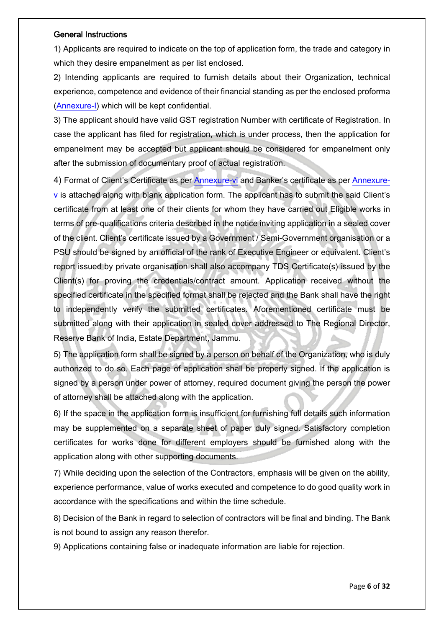#### General Instructions

1) Applicants are required to indicate on the top of application form, the trade and category in which they desire empanelment as per list enclosed.

2) Intending applicants are required to furnish details about their Organization, technical experience, competence and evidence of their financial standing as per the enclosed proforma [\(Annexure-I\)](#page-8-0) which will be kept confidential.

3) The applicant should have valid GST registration Number with certificate of Registration. In case the applicant has filed for registration, which is under process, then the application for empanelment may be accepted but applicant should be considered for empanelment only after the submission of documentary proof of actual registration.

4) Format of Client's Certificate as per [Annexure-vi](#page-16-0) and Banker's certificate as per [Annexure](#page-15-0)[v](#page-15-0) is attached along with blank application form. The applicant has to submit the said Client's certificate from at least one of their clients for whom they have carried out Eligible works in terms of pre-qualifications criteria described in the notice inviting application in a sealed cover of the client. Client's certificate issued by a Government / Semi-Government organisation or a PSU should be signed by an official of the rank of Executive Engineer or equivalent. Client's report issued by private organisation shall also accompany TDS Certificate(s) issued by the Client(s) for proving the credentials/contract amount. Application received without the specified certificate in the specified format shall be rejected and the Bank shall have the right to independently verify the submitted certificates. Aforementioned certificate must be submitted along with their application in sealed cover addressed to The Regional Director, Reserve Bank of India, Estate Department, Jammu.

5) The application form shall be signed by a person on behalf of the Organization, who is duly authorized to do so. Each page of application shall be properly signed. If the application is signed by a person under power of attorney, required document giving the person the power of attorney shall be attached along with the application.

6) If the space in the application form is insufficient for furnishing full details such information may be supplemented on a separate sheet of paper duly signed. Satisfactory completion certificates for works done for different employers should be furnished along with the application along with other supporting documents.

7) While deciding upon the selection of the Contractors, emphasis will be given on the ability, experience performance, value of works executed and competence to do good quality work in accordance with the specifications and within the time schedule.

8) Decision of the Bank in regard to selection of contractors will be final and binding. The Bank is not bound to assign any reason therefor.

9) Applications containing false or inadequate information are liable for rejection.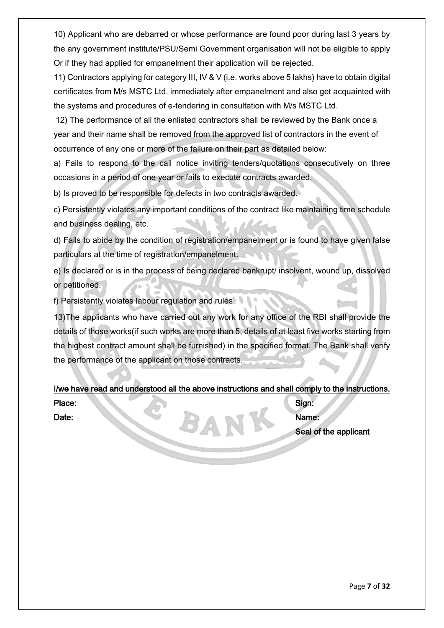10) Applicant who are debarred or whose performance are found poor during last 3 years by the any government institute/PSU/Semi Government organisation will not be eligible to apply Or if they had applied for empanelment their application will be rejected.

11) Contractors applying for category III, IV & V (i.e. works above 5 lakhs) have to obtain digital certificates from M/s MSTC Ltd. immediately after empanelment and also get acquainted with the systems and procedures of e-tendering in consultation with M/s MSTC Ltd.

12) The performance of all the enlisted contractors shall be reviewed by the Bank once a year and their name shall be removed from the approved list of contractors in the event of occurrence of any one or more of the failure on their part as detailed below:

a) Fails to respond to the call notice inviting tenders/quotations consecutively on three occasions in a period of one year or fails to execute contracts awarded.

b) Is proved to be responsible for defects in two contracts awarded.

c) Persistently violates any important conditions of the contract like maintaining time schedule and business dealing, etc.

d) Fails to abide by the condition of registration/empanelment or is found to have given false particulars at the time of registration/empanelment.

e) Is declared or is in the process of being declared bankrupt/ insolvent, wound up, dissolved or petitioned.

f) Persistently violates labour regulation and rules.

13)The applicants who have carried out any work for any office of the RBI shall provide the details of those works(if such works are more than 5, details of at least five works starting from the highest contract amount shall be furnished) in the specified format. The Bank shall verify the performance of the applicant on those contracts.

I/we have read and understood all the above instructions and shall comply to the instructions.

Place: Sign: Date: Name: Name: Name: Name: Name: Name: Name: Name: Name: Name: Name: Name: Name: Name: Name: Name: Name: Name: Name: Name: Name: Name: Name: Name: Name: Name: Name: Name: Name: Name: Name: Name: Name: Name: Name: Name: Seal of the applicant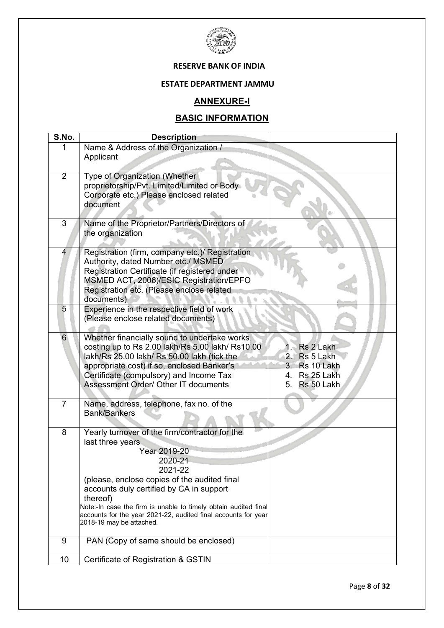

#### **RESERVE BANK OF INDIA**

#### **ESTATE DEPARTMENT JAMMU**

### **ANNEXURE-I**

## **BASIC INFORMATION**

<span id="page-8-1"></span><span id="page-8-0"></span>

| S.No.            | <b>Description</b>                                                                         |                  |
|------------------|--------------------------------------------------------------------------------------------|------------------|
| 1                | Name & Address of the Organization /                                                       |                  |
|                  | Applicant                                                                                  |                  |
|                  |                                                                                            |                  |
| $\overline{2}$   | Type of Organization (Whether                                                              |                  |
|                  | proprietorship/Pvt. Limited/Limited or Body                                                |                  |
|                  | Corporate etc.) Please enclosed related                                                    |                  |
|                  | document                                                                                   |                  |
|                  |                                                                                            |                  |
| 3                | Name of the Proprietor/Partners/Directors of                                               |                  |
|                  | the organization                                                                           |                  |
|                  |                                                                                            |                  |
| 4                | Registration (firm, company etc.)/ Registration                                            |                  |
|                  | Authority, dated Number etc./ MSMED                                                        |                  |
|                  | Registration Certificate (if registered under                                              |                  |
|                  | MSMED ACT, 2006)/ESIC Registration/EPFO                                                    |                  |
|                  | Registration etc. (Please enclose related<br>documents)                                    |                  |
| 5                | Experience in the respective field of work                                                 |                  |
|                  | (Please enclose related documents)                                                         |                  |
|                  |                                                                                            |                  |
| 6                | Whether financially sound to undertake works                                               |                  |
|                  | costing up to Rs 2.00 lakh/Rs 5.00 lakh/ Rs10.00                                           | Rs 2 Lakh<br>1<  |
|                  | lakh/Rs 25.00 lakh/ Rs 50.00 lakh (tick the                                                | 2. Rs 5 Lakh     |
|                  | appropriate cost) if so, enclosed Banker's                                                 | 3. Rs 10 Lakh    |
|                  | Certificate (compulsory) and Income Tax                                                    | Rs 25 Lakh<br>4. |
|                  | <b>Assessment Order/ Other IT documents</b>                                                | Rs 50 Lakh<br>5. |
|                  |                                                                                            |                  |
| $\overline{7}$   | Name, address, telephone, fax no. of the                                                   |                  |
|                  | <b>Bank/Bankers</b>                                                                        |                  |
|                  |                                                                                            |                  |
| 8                | Yearly turnover of the firm/contractor for the                                             |                  |
|                  | last three years                                                                           |                  |
|                  | Year 2019-20                                                                               |                  |
|                  | 2020-21                                                                                    |                  |
|                  | 2021-22                                                                                    |                  |
|                  | (please, enclose copies of the audited final                                               |                  |
|                  | accounts duly certified by CA in support                                                   |                  |
|                  | thereof)                                                                                   |                  |
|                  | Note:-In case the firm is unable to timely obtain audited final                            |                  |
|                  | accounts for the year 2021-22, audited final accounts for year<br>2018-19 may be attached. |                  |
|                  |                                                                                            |                  |
| $\boldsymbol{9}$ | PAN (Copy of same should be enclosed)                                                      |                  |
|                  |                                                                                            |                  |
| 10               | Certificate of Registration & GSTIN                                                        |                  |
|                  |                                                                                            |                  |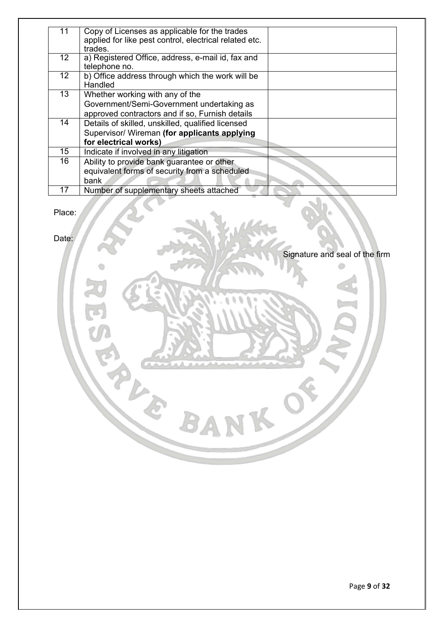| 11              | Copy of Licenses as applicable for the trades          |  |
|-----------------|--------------------------------------------------------|--|
|                 | applied for like pest control, electrical related etc. |  |
|                 | trades.                                                |  |
| 12              | a) Registered Office, address, e-mail id, fax and      |  |
|                 | telephone no.                                          |  |
| 12 <sub>2</sub> | b) Office address through which the work will be       |  |
|                 | Handled                                                |  |
| 13              | Whether working with any of the                        |  |
|                 | Government/Semi-Government undertaking as              |  |
|                 | approved contractors and if so, Furnish details        |  |
| 14              | Details of skilled, unskilled, qualified licensed      |  |
|                 | Supervisor/ Wireman (for applicants applying           |  |
|                 | for electrical works)                                  |  |
| 15              | Indicate if involved in any litigation                 |  |
| 16              | Ability to provide bank guarantee or other             |  |
|                 | equivalent forms of security from a scheduled          |  |
|                 | bank                                                   |  |
| 17              | Number of supplementary sheets attached                |  |

BAN

Place:

Date:

Signature and seal of the firm Ô

 $\circ$ 

 $\overline{\phantom{a}}$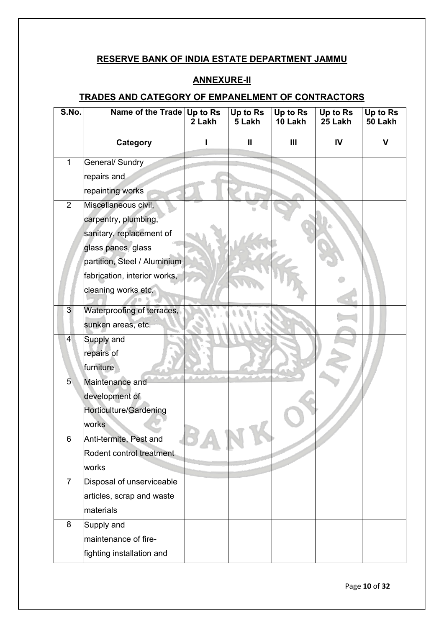### **RESERVE BANK OF INDIA ESTATE DEPARTMENT JAMMU**

### **ANNEXURE-II**

## <span id="page-10-0"></span>**TRADES AND CATEGORY OF EMPANELMENT OF CONTRACTORS**

<span id="page-10-1"></span>

| S.No.          | Name of the Trade Up to Rs   | 2 Lakh | Up to Rs<br>5 Lakh | Up to Rs<br>10 Lakh | Up to Rs<br>25 Lakh | Up to Rs<br>50 Lakh |
|----------------|------------------------------|--------|--------------------|---------------------|---------------------|---------------------|
|                | Category                     |        | $\mathbf{II}$      | $\mathbf{III}$      | IV                  | V                   |
| $\mathbf{1}$   | General/ Sundry              |        |                    |                     |                     |                     |
|                | repairs and                  |        |                    |                     |                     |                     |
|                | repainting works             |        |                    |                     |                     |                     |
| $\overline{2}$ | Miscellaneous civil,         |        |                    |                     |                     |                     |
|                | carpentry, plumbing,         |        |                    |                     |                     |                     |
|                | sanitary, replacement of     |        |                    |                     |                     |                     |
|                | glass panes, glass           |        |                    |                     |                     |                     |
|                | partition, Steel / Aluminium |        |                    |                     |                     |                     |
|                | fabrication, interior works, |        |                    |                     |                     |                     |
|                | cleaning works etc.          |        |                    |                     |                     |                     |
| 3              | Waterproofing of terraces,   |        |                    |                     |                     |                     |
|                | sunken areas, etc.           |        |                    |                     |                     |                     |
| $\overline{4}$ | Supply and                   |        |                    |                     |                     |                     |
|                | repairs of                   |        |                    |                     |                     |                     |
|                | furniture                    |        |                    |                     |                     |                     |
| 5 <sub>1</sub> | Maintenance and              |        |                    |                     |                     |                     |
|                | development of               |        |                    |                     |                     |                     |
|                | Horticulture/Gardening       |        |                    |                     |                     |                     |
|                | works                        |        |                    |                     |                     |                     |
| 6.             | Anti-termite, Pest and       |        |                    |                     |                     |                     |
|                | Rodent control treatment     |        |                    |                     |                     |                     |
|                | works                        |        |                    |                     |                     |                     |
| $\overline{7}$ | Disposal of unserviceable    |        |                    |                     |                     |                     |
|                | articles, scrap and waste    |        |                    |                     |                     |                     |
|                | materials                    |        |                    |                     |                     |                     |
| 8              | Supply and                   |        |                    |                     |                     |                     |
|                | maintenance of fire-         |        |                    |                     |                     |                     |
|                | fighting installation and    |        |                    |                     |                     |                     |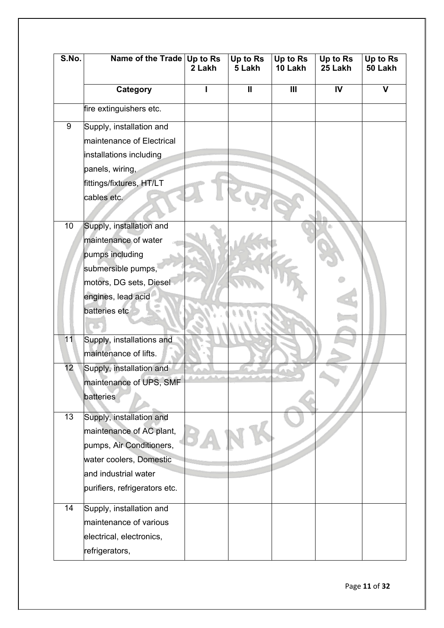| S.No.           | Name of the Trade Up to Rs    | 2 Lakh | Up to $R\overline{s}$<br>5 Lakh | Up to Rs<br>10 Lakh | Up to Rs<br>25 Lakh | Up to Rs<br>50 Lakh |
|-----------------|-------------------------------|--------|---------------------------------|---------------------|---------------------|---------------------|
|                 | Category                      |        | $\mathbf l$                     | $\mathbf{III}$      | $\mathsf{IV}$       | V                   |
|                 | fire extinguishers etc.       |        |                                 |                     |                     |                     |
| 9               | Supply, installation and      |        |                                 |                     |                     |                     |
|                 | maintenance of Electrical     |        |                                 |                     |                     |                     |
|                 | installations including       |        |                                 |                     |                     |                     |
|                 | panels, wiring,               |        |                                 |                     |                     |                     |
|                 | fittings/fixtures, HT/LT      |        |                                 |                     |                     |                     |
|                 | cables etc.                   |        |                                 |                     |                     |                     |
|                 |                               |        |                                 |                     |                     |                     |
| 10 <sub>1</sub> | Supply, installation and      |        |                                 |                     |                     |                     |
|                 | maintenance of water          |        |                                 |                     |                     |                     |
|                 | pumps including               |        |                                 |                     |                     |                     |
|                 | submersible pumps,            |        |                                 |                     |                     |                     |
|                 | motors, DG sets, Diesel       |        |                                 |                     |                     |                     |
|                 | engines, lead acid            |        |                                 |                     |                     |                     |
|                 | batteries etc                 |        |                                 |                     |                     |                     |
|                 |                               |        |                                 |                     |                     |                     |
| 11              | Supply, installations and     |        |                                 |                     |                     |                     |
|                 | maintenance of lifts.         |        |                                 |                     |                     |                     |
| 12              | Supply, installation and      |        |                                 |                     |                     |                     |
|                 | maintenance of UPS, SMF       |        |                                 |                     |                     |                     |
|                 | <b>batteries</b>              |        |                                 |                     |                     |                     |
| 13              | Supply, installation and      |        |                                 |                     |                     |                     |
|                 | maintenance of AC plant,      |        |                                 |                     |                     |                     |
|                 | pumps, Air Conditioners,      |        |                                 |                     |                     |                     |
|                 | water coolers, Domestic       |        |                                 |                     |                     |                     |
|                 | and industrial water          |        |                                 |                     |                     |                     |
|                 | purifiers, refrigerators etc. |        |                                 |                     |                     |                     |
|                 |                               |        |                                 |                     |                     |                     |
| 14              | Supply, installation and      |        |                                 |                     |                     |                     |
|                 | maintenance of various        |        |                                 |                     |                     |                     |
|                 | electrical, electronics,      |        |                                 |                     |                     |                     |
|                 | refrigerators,                |        |                                 |                     |                     |                     |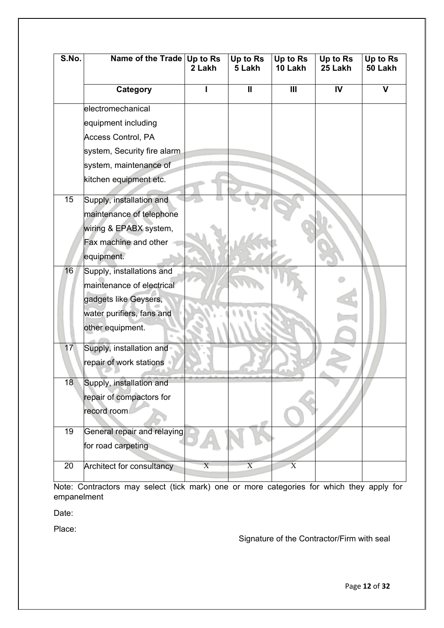| S.No.           | Name of the Trade Up to Rs  | 2 Lakh         | Up to Rs<br>5 Lakh | Up to Rs<br>10 Lakh | Up to Rs<br>25 Lakh | Up to Rs<br>50 Lakh |
|-----------------|-----------------------------|----------------|--------------------|---------------------|---------------------|---------------------|
|                 | Category                    |                | $\mathbf{I}$       | III                 | $\mathbf W$         | $\mathbf v$         |
|                 | electromechanical           |                |                    |                     |                     |                     |
|                 | equipment including         |                |                    |                     |                     |                     |
|                 | Access Control, PA          |                |                    |                     |                     |                     |
|                 | system, Security fire alarm |                |                    |                     |                     |                     |
|                 | system, maintenance of      |                |                    |                     |                     |                     |
|                 | kitchen equipment etc.      |                |                    |                     |                     |                     |
| 15              | Supply, installation and    |                |                    |                     |                     |                     |
|                 | maintenance of telephone    |                |                    |                     |                     |                     |
|                 | wiring & EPABX system,      |                |                    |                     |                     |                     |
|                 | Fax machine and other       |                |                    |                     |                     |                     |
|                 | equipment.                  |                |                    |                     |                     |                     |
| 16              | Supply, installations and   |                |                    |                     |                     |                     |
|                 | maintenance of electrical   |                |                    |                     |                     |                     |
|                 | gadgets like Geysers,       |                |                    |                     |                     |                     |
|                 | water purifiers, fans and   |                |                    |                     |                     |                     |
|                 | other equipment.            |                |                    |                     |                     |                     |
| 17 <sub>2</sub> | Supply, installation and    |                |                    |                     |                     |                     |
|                 | repair of work stations     |                |                    |                     |                     |                     |
| 18              | Supply, installation and    |                |                    |                     |                     |                     |
|                 | repair of compactors for    |                |                    |                     |                     |                     |
|                 | record room                 |                |                    |                     |                     |                     |
| 19              | General repair and relaying |                |                    |                     |                     |                     |
|                 | for road carpeting          |                |                    |                     |                     |                     |
| 20              | Architect for consultancy   | $\overline{X}$ | X                  | $\mathbf X$         |                     |                     |

Note: Contractors may select (tick mark) one or more categories for which they apply for empanelment

Date:

Place:

Signature of the Contractor/Firm with seal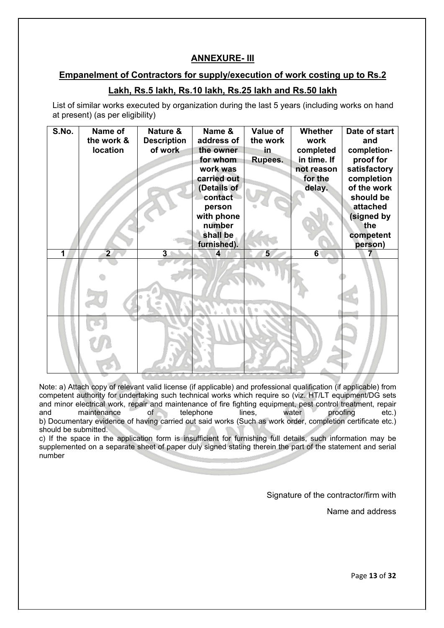#### **ANNEXURE- III**

#### <span id="page-13-1"></span><span id="page-13-0"></span>**Empanelment of Contractors for supply/execution of work costing up to Rs.2**

### **Lakh, Rs.5 lakh, Rs.10 lakh, Rs.25 lakh and Rs.50 lakh**

List of similar works executed by organization during the last 5 years (including works on hand at present) (as per eligibility)

| S.No. | Name of<br>the work & | Nature &<br><b>Description</b> | Name &<br>address of                   | Value of<br>the work | Whether<br>work   | Date of start<br>and      |
|-------|-----------------------|--------------------------------|----------------------------------------|----------------------|-------------------|---------------------------|
|       | <b>location</b>       | of work                        | the owner                              | in,                  | completed         | completion-               |
|       |                       |                                | for whom                               | Rupees.              | in time. If       | proof for                 |
|       |                       |                                | work was                               |                      | not reason        | satisfactory              |
|       |                       |                                | carried out<br>(Details of             |                      | for the<br>delay. | completion<br>of the work |
|       |                       |                                | contact                                |                      |                   | should be                 |
|       |                       |                                | person                                 |                      |                   | attached                  |
|       |                       |                                | with phone                             |                      |                   | (signed by                |
|       |                       |                                | number                                 |                      |                   | the                       |
|       |                       |                                | shall be                               |                      |                   | competent                 |
| 1     | $\overline{2}$        | 3                              | furnished).<br>$\overline{\mathbf{4}}$ | 5                    | $\overline{6}$    | person)<br>7              |
|       |                       |                                |                                        |                      |                   |                           |
|       |                       |                                |                                        |                      |                   |                           |
|       |                       |                                |                                        |                      |                   |                           |
|       |                       |                                |                                        |                      |                   |                           |
|       |                       |                                |                                        |                      |                   |                           |
|       |                       |                                |                                        |                      |                   |                           |
|       |                       |                                |                                        |                      |                   |                           |
|       |                       |                                |                                        |                      |                   |                           |
|       |                       |                                |                                        |                      |                   |                           |
|       |                       |                                |                                        |                      |                   |                           |
|       |                       |                                |                                        |                      |                   |                           |

Note: a) Attach copy of relevant valid license (if applicable) and professional qualification (if applicable) from competent authority for undertaking such technical works which require so (viz. HT/LT equipment/DG sets and minor electrical work, repair and maintenance of fire fighting equipment, pest control treatment, repair<br>and maintenance of telephone lines. water proofing etc.) maintenance of telephone lines, water proofing etc.) b) Documentary evidence of having carried out said works (Such as work order, completion certificate etc.) should be submitted.

c) If the space in the application form is insufficient for furnishing full details, such information may be supplemented on a separate sheet of paper duly signed stating therein the part of the statement and serial number

Signature of the contractor/firm with

Name and address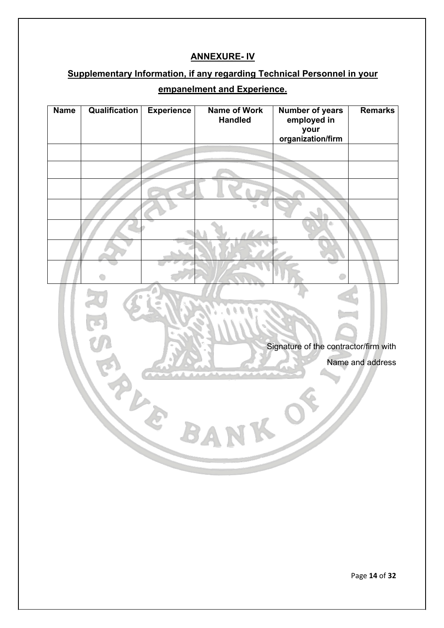## **ANNEXURE- IV**

## <span id="page-14-1"></span><span id="page-14-0"></span>**Supplementary Information, if any regarding Technical Personnel in your**

## **empanelment and Experience.**

| <b>Name</b> | Qualification | <b>Experience</b> | <b>Name of Work</b><br><b>Handled</b> | <b>Number of years</b><br>employed in<br>your<br>organization/firm | <b>Remarks</b>   |
|-------------|---------------|-------------------|---------------------------------------|--------------------------------------------------------------------|------------------|
|             |               |                   |                                       |                                                                    |                  |
|             |               |                   |                                       |                                                                    |                  |
|             |               |                   |                                       |                                                                    |                  |
|             |               |                   |                                       |                                                                    |                  |
|             |               |                   |                                       |                                                                    |                  |
|             |               |                   |                                       |                                                                    |                  |
|             |               |                   |                                       |                                                                    |                  |
|             |               |                   |                                       | Signature of the contractor/firm with                              | Name and address |
|             |               |                   | <b>AVIA</b>                           | $\overline{\phantom{a}}$                                           |                  |
|             |               |                   |                                       |                                                                    |                  |

Page **14** of **32**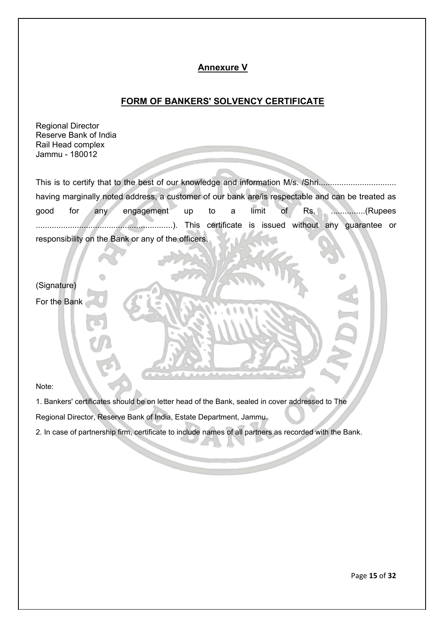#### **Annexure V**

#### **FORM OF BANKERS' SOLVENCY CERTIFICATE**

<span id="page-15-1"></span><span id="page-15-0"></span>Regional Director Reserve Bank of India Rail Head complex Jammu - 180012

This is to certify that to the best of our knowledge and information M/s. /Shri............................... having marginally noted address, a customer of our bank are/is respectable and can be treated as good for any engagement up to a limit of Rs. ...............(Rupees ............................................................). This certificate is issued without any guarantee or responsibility on the Bank or any of the officers.

(Signature) For the Bank

Note:

1. Bankers' certificates should be on letter head of the Bank, sealed in cover addressed to The

Regional Director, Reserve Bank of India, Estate Department, Jammu.

2. In case of partnership firm, certificate to include names of all partners as recorded with the Bank.

Page **15** of **32**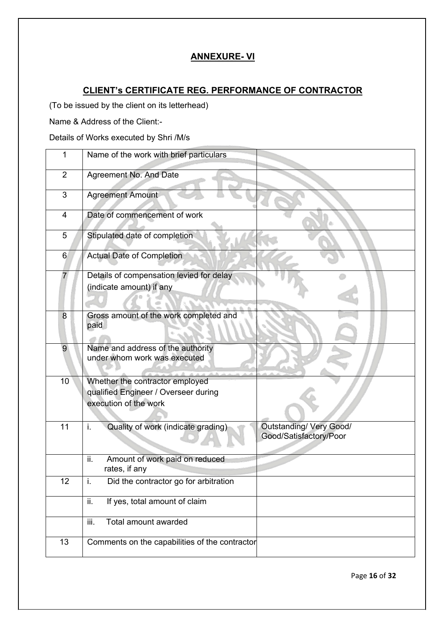### **ANNEXURE- VI**

## <span id="page-16-2"></span><span id="page-16-0"></span>**CLIENT's CERTIFICATE REG. PERFORMANCE OF CONTRACTOR**

<span id="page-16-1"></span>(To be issued by the client on its letterhead)

Name & Address of the Client:-

Details of Works executed by Shri /M/s

| 1              | Name of the work with brief particulars                                                              |
|----------------|------------------------------------------------------------------------------------------------------|
| $\overline{2}$ | Agreement No. And Date                                                                               |
| 3              | <b>Agreement Amount</b>                                                                              |
| 4              | Date of commencement of work                                                                         |
| 5              | Stipulated date of completion                                                                        |
| 6              | <b>Actual Date of Completion</b>                                                                     |
| $\overline{7}$ | Details of compensation levied for delay<br>(indicate amount) if any                                 |
| 8              | Gross amount of the work completed and<br>paid                                                       |
| 9              | Name and address of the authority<br>under whom work was executed                                    |
| 10             | Whether the contractor employed<br>qualified Engineer / Overseer during<br>execution of the work     |
| 11             | <b>Outstanding/ Very Good/</b><br>Quality of work (indicate grading)<br>i.<br>Good/Satisfactory/Poor |
|                | Amount of work paid on reduced<br>ii.<br>rates, if any                                               |
| 12             | Did the contractor go for arbitration<br>i.                                                          |
|                | If yes, total amount of claim<br>ii.                                                                 |
|                | Total amount awarded<br>iii.                                                                         |
| 13             | Comments on the capabilities of the contractor                                                       |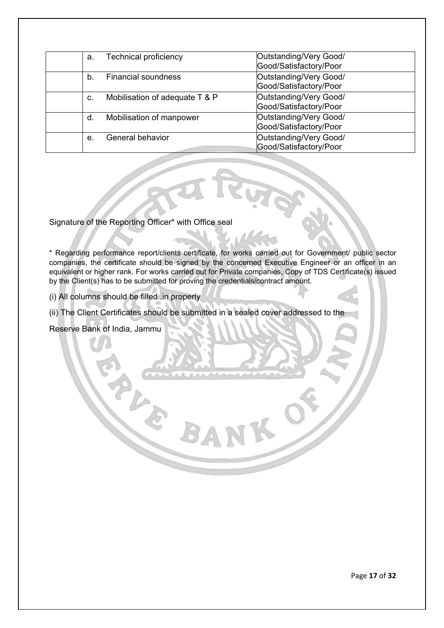| a. | <b>Technical proficiency</b>   | Outstanding/Very Good/<br>Good/Satisfactory/Poor |
|----|--------------------------------|--------------------------------------------------|
|    |                                |                                                  |
| b. | <b>Financial soundness</b>     | Outstanding/Very Good/                           |
|    |                                | Good/Satisfactory/Poor                           |
| C. | Mobilisation of adequate T & P | Outstanding/Very Good/                           |
|    |                                | Good/Satisfactory/Poor                           |
| d. | Mobilisation of manpower       | Outstanding/Very Good/                           |
|    |                                | Good/Satisfactory/Poor                           |
| е. | General behavior               | Outstanding/Very Good/                           |
|    |                                | Good/Satisfactory/Poor                           |

Signature of the Reporting Officer\* with Office seal

\* Regarding performance report/clients certificate, for works carried out for Government/ public sector companies, the certificate should be signed by the concerned Executive Engineer or an officer in an equivalent or higher rank. For works carried out for Private companies, Copy of TDS Certificate(s) issued by the Client(s) has to be submitted for proving the credentials/contract amount.

(i) All columns should be filled .in properly

(ii) The Client Certificates should be submitted in a sealed cover addressed to the

Reserve Bank of India, Jammu

Page **17** of **32**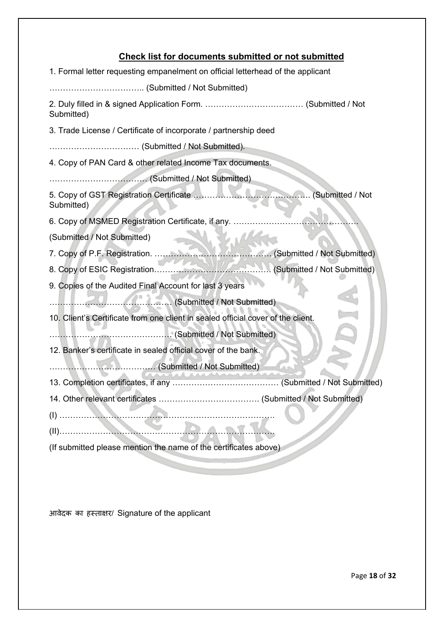# **Check list for documents submitted or not submitted**

<span id="page-18-0"></span>

| 1. Formal letter requesting empanelment on official letterhead of the applicant  |                  |
|----------------------------------------------------------------------------------|------------------|
|                                                                                  |                  |
| Submitted)                                                                       |                  |
| 3. Trade License / Certificate of incorporate / partnership deed                 |                  |
|                                                                                  |                  |
| 4. Copy of PAN Card & other related Income Tax documents.                        |                  |
|                                                                                  |                  |
| Submitted)                                                                       | (Submitted / Not |
| 6. Copy of MSMED Registration Certificate, if any.                               |                  |
| (Submitted / Not Submitted)                                                      |                  |
|                                                                                  |                  |
|                                                                                  |                  |
| 9. Copies of the Audited Final Account for last 3 years                          |                  |
|                                                                                  |                  |
| 10. Client's Certificate from one client in sealed official cover of the client. |                  |
|                                                                                  |                  |
| 12. Banker's certificate in sealed official cover of the bank.                   |                  |
|                                                                                  |                  |
|                                                                                  |                  |
| 14. Other relevant certificates.                                                 |                  |
|                                                                                  |                  |
|                                                                                  |                  |
| (If submitted please mention the name of the certificates above)                 |                  |
|                                                                                  |                  |

आवेदक का हस्ता�र/ Signature of the applicant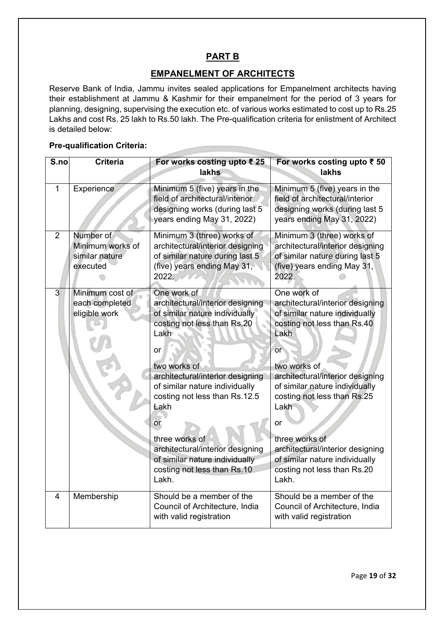### **PART B**

#### **EMPANELMENT OF ARCHITECTS**

<span id="page-19-1"></span><span id="page-19-0"></span>Reserve Bank of India, Jammu invites sealed applications for Empanelment architects having their establishment at Jammu & Kashmir for their empanelment for the period of 3 years for planning, designing, supervising the execution etc. of various works estimated to cost up to Rs.25 Lakhs and cost Rs. 25 lakh to Rs.50 lakh. The Pre-qualification criteria for enlistment of Architect is detailed below:

#### **Pre-qualification Criteria:**

| S.no           | <b>Criteria</b>                                             | For works costing upto ₹ 25<br>lakhs                                                                                                                                                                                                                                                                                                                                                                | For works costing upto ₹ 50<br>lakhs                                                                                                                                                                                                                                                                                                                                                              |
|----------------|-------------------------------------------------------------|-----------------------------------------------------------------------------------------------------------------------------------------------------------------------------------------------------------------------------------------------------------------------------------------------------------------------------------------------------------------------------------------------------|---------------------------------------------------------------------------------------------------------------------------------------------------------------------------------------------------------------------------------------------------------------------------------------------------------------------------------------------------------------------------------------------------|
| $\mathbf{1}$   | Experience                                                  | Minimum 5 (five) years in the<br>field of architectural/interior<br>designing works (during last 5<br>years ending May 31, 2022)                                                                                                                                                                                                                                                                    | Minimum 5 (five) years in the<br>field of architectural/interior<br>designing works (during last 5<br>years ending May 31, 2022)                                                                                                                                                                                                                                                                  |
| $\overline{2}$ | Number of<br>Minimum works of<br>similar nature<br>executed | Minimum 3 (three) works of<br>architectural/interior designing<br>of similar nature during last 5<br>(five) years ending May 31,<br>2022.                                                                                                                                                                                                                                                           | Minimum 3 (three) works of<br>architectural/interior designing<br>of similar nature during last 5<br>(five) years ending May 31,<br>2022.                                                                                                                                                                                                                                                         |
| 3              | Minimum cost of<br>each completed<br>eligible work          | One work of<br>architectural/interior designing<br>of similar nature individually<br>costing not less than Rs.20<br>Lakh<br>or<br>two works of<br>architectural/interior designing<br>of similar nature individually<br>costing not less than Rs.12.5<br>Lakh<br>or<br>three works of<br>architectural/interior designing<br>of similar nature individually<br>costing not less than Rs.10<br>Lakh. | One work of<br>architectural/interior designing<br>of similar nature individually<br>costing not less than Rs.40<br>Lakh<br>or<br>two works of<br>architectural/interior designing<br>of similar nature individually<br>costing not less than Rs.25<br>Lakh<br>or<br>three works of<br>architectural/interior designing<br>of similar nature individually<br>costing not less than Rs.20<br>Lakh. |
| $\overline{4}$ | Membership                                                  | Should be a member of the<br>Council of Architecture, India<br>with valid registration                                                                                                                                                                                                                                                                                                              | Should be a member of the<br>Council of Architecture, India<br>with valid registration                                                                                                                                                                                                                                                                                                            |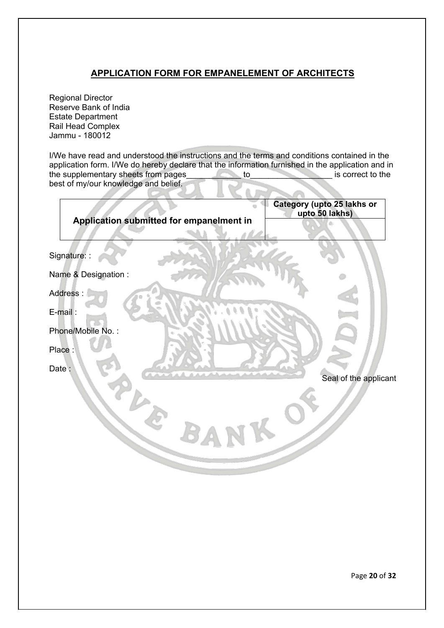### **APPLICATION FORM FOR EMPANELEMENT OF ARCHITECTS**

<span id="page-20-0"></span>Regional Director Reserve Bank of India Estate Department Rail Head Complex Jammu - 180012

I/We have read and understood the instructions and the terms and conditions contained in the application form. I/We do hereby declare that the information furnished in the application and in the supplementary sheets from pages to the supplementary sheets from pages to the is correct to the best of my/our knowledge and belief.

|              |                                          | Category (upto 25 lakhs or<br>upto 50 lakhs) |
|--------------|------------------------------------------|----------------------------------------------|
|              | Application submitted for empanelment in |                                              |
| Signature: : |                                          |                                              |
|              | Name & Designation :                     |                                              |
| Address:     |                                          |                                              |
| E-mail:      |                                          |                                              |
|              | Phone/Mobile No.:                        |                                              |
| Place:       |                                          |                                              |
| Date:        |                                          |                                              |
|              |                                          | Seal of the applicant                        |
|              |                                          |                                              |
|              |                                          |                                              |
|              | <b>BA</b>                                |                                              |
|              |                                          |                                              |
|              |                                          |                                              |
|              |                                          |                                              |

Page **20** of **32**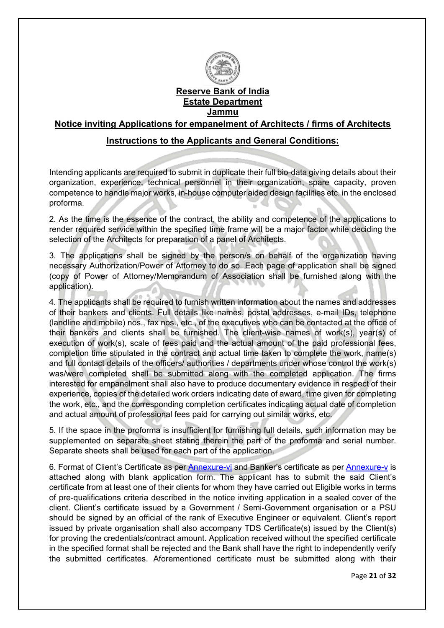

**Reserve Bank of India Estate Department Jammu**

<span id="page-21-1"></span><span id="page-21-0"></span>**Notice inviting Applications for empanelment of Architects / firms of Architects**

#### **Instructions to the Applicants and General Conditions:**

Intending applicants are required to submit in duplicate their full bio-data giving details about their organization, experience, technical personnel in their organization, spare capacity, proven competence to handle major works, in-house computer aided design facilities etc. in the enclosed proforma.

2. As the time is the essence of the contract, the ability and competence of the applications to render required service within the specified time frame will be a major factor while deciding the selection of the Architects for preparation of a panel of Architects.

3. The applications shall be signed by the person/s on behalf of the organization having necessary Authorization/Power of Attorney to do so. Each page of application shall be signed (copy of Power of Attorney/Memorandum of Association shall be furnished along with the application).

4. The applicants shall be required to furnish written information about the names and addresses of their bankers and clients. Full details like names, postal addresses, e-mail IDs, telephone (landline and mobile) nos., fax nos., etc., of the executives who can be contacted at the office of their bankers and clients shall be furnished. The client-wise names of work(s), year(s) of execution of work(s), scale of fees paid and the actual amount of the paid professional fees, completion time stipulated in the contract and actual time taken to complete the work, name(s) and full contact details of the officers/ authorities / departments under whose control the work(s) was/were completed shall be submitted along with the completed application. The firms interested for empanelment shall also have to produce documentary evidence in respect of their experience, copies of the detailed work orders indicating date of award, time given for completing the work, etc., and the corresponding completion certificates indicating actual date of completion and actual amount of professional fees paid for carrying out similar works, etc.

5. If the space in the proforma is insufficient for furnishing full details, such information may be supplemented on separate sheet stating therein the part of the proforma and serial number. Separate sheets shall be used for each part of the application.

6. Format of Client's Certificate as per [Annexure-vi](#page-16-0) and Banker's certificate as per [Annexure-v](#page-15-0) is attached along with blank application form. The applicant has to submit the said Client's certificate from at least one of their clients for whom they have carried out Eligible works in terms of pre-qualifications criteria described in the notice inviting application in a sealed cover of the client. Client's certificate issued by a Government / Semi-Government organisation or a PSU should be signed by an official of the rank of Executive Engineer or equivalent. Client's report issued by private organisation shall also accompany TDS Certificate(s) issued by the Client(s) for proving the credentials/contract amount. Application received without the specified certificate in the specified format shall be rejected and the Bank shall have the right to independently verify the submitted certificates. Aforementioned certificate must be submitted along with their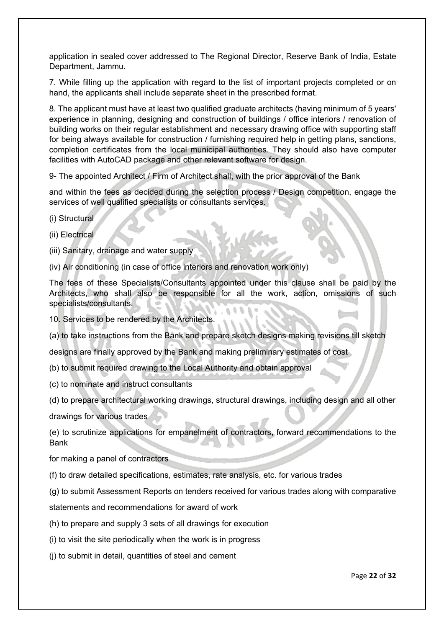application in sealed cover addressed to The Regional Director, Reserve Bank of India, Estate Department, Jammu.

7. While filling up the application with regard to the list of important projects completed or on hand, the applicants shall include separate sheet in the prescribed format.

8. The applicant must have at least two qualified graduate architects (having minimum of 5 years' experience in planning, designing and construction of buildings / office interiors / renovation of building works on their regular establishment and necessary drawing office with supporting staff for being always available for construction / furnishing required help in getting plans, sanctions, completion certificates from the local municipal authorities. They should also have computer facilities with AutoCAD package and other relevant software for design.

9- The appointed Architect / Firm of Architect shall, with the prior approval of the Bank

and within the fees as decided during the selection process / Design competition, engage the services of well qualified specialists or consultants services.

(i) Structural

- (ii) Electrical
- (iii) Sanitary, drainage and water supply
- (iv) Air conditioning (in case of office interiors and renovation work only)

The fees of these Specialists/Consultants appointed under this clause shall be paid by the Architects, who shall also be responsible for all the work, action, omissions of such specialists/consultants.

10. Services to be rendered by the Architects.

(a) to take instructions from the Bank and prepare sketch designs making revisions till sketch

designs are finally approved by the Bank and making preliminary estimates of cost

(b) to submit required drawing to the Local Authority and obtain approval

- (c) to nominate and instruct consultants
- (d) to prepare architectural working drawings, structural drawings, including design and all other

drawings for various trades

(e) to scrutinize applications for empanelment of contractors, forward recommendations to the Bank

for making a panel of contractors

(f) to draw detailed specifications, estimates, rate analysis, etc. for various trades

(g) to submit Assessment Reports on tenders received for various trades along with comparative

statements and recommendations for award of work

- (h) to prepare and supply 3 sets of all drawings for execution
- (i) to visit the site periodically when the work is in progress
- (j) to submit in detail, quantities of steel and cement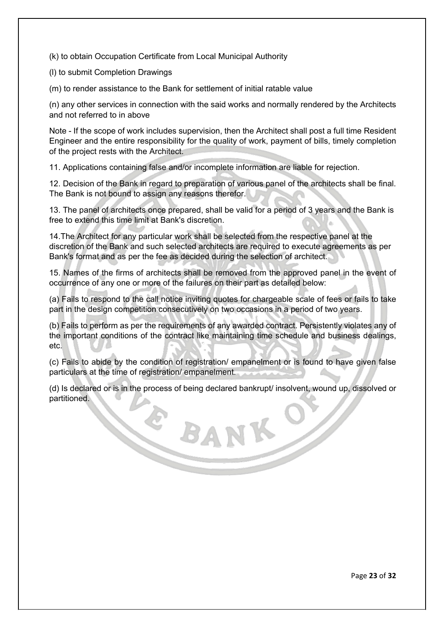(k) to obtain Occupation Certificate from Local Municipal Authority

(l) to submit Completion Drawings

(m) to render assistance to the Bank for settlement of initial ratable value

(n) any other services in connection with the said works and normally rendered by the Architects and not referred to in above

Note - If the scope of work includes supervision, then the Architect shall post a full time Resident Engineer and the entire responsibility for the quality of work, payment of bills, timely completion of the project rests with the Architect.

11. Applications containing false and/or incomplete information are liable for rejection.

12. Decision of the Bank in regard to preparation of various panel of the architects shall be final. The Bank is not bound to assign any reasons therefor.

13. The panel of architects once prepared, shall be valid for a period of 3 years and the Bank is free to extend this time limit at Bank's discretion.

14.The Architect for any particular work shall be selected from the respective panel at the discretion of the Bank and such selected architects are required to execute agreements as per Bank's format and as per the fee as decided during the selection of architect.

15. Names of the firms of architects shall be removed from the approved panel in the event of occurrence of any one or more of the failures on their part as detailed below:

(a) Fails to respond to the call notice inviting quotes for chargeable scale of fees or fails to take part in the design competition consecutively on two occasions in a period of two years.

(b) Fails to perform as per the requirements of any awarded contract. Persistently violates any of the important conditions of the contract like maintaining time schedule and business dealings, etc.

(c) Fails to abide by the condition of registration/ empanelment or is found to have given false particulars at the time of registration/ empanelment.

(d) Is declared or is in the process of being declared bankrupt/ insolvent, wound up, dissolved or partitioned.

E BANK O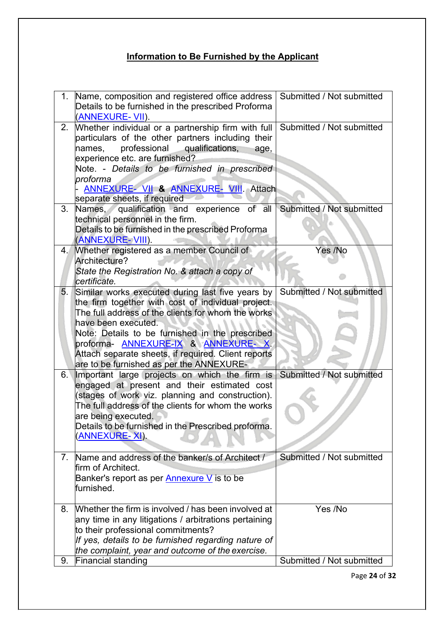# **Information to Be Furnished by the Applicant**

<span id="page-24-0"></span>

| 1.             | Name, composition and registered office address   Submitted / Not submitted<br>Details to be furnished in the prescribed Proforma<br>(ANNEXURE- VII).                                                                                                                                                                                                                           |                           |
|----------------|---------------------------------------------------------------------------------------------------------------------------------------------------------------------------------------------------------------------------------------------------------------------------------------------------------------------------------------------------------------------------------|---------------------------|
| 2.             | Whether individual or a partnership firm with full Submitted / Not submitted<br>particulars of the other partners including their<br>professional<br>qualifications,<br>names,<br>age,<br>experience etc. are furnished?<br>Note. - Details to be furnished in prescribed<br>proforma<br>ANNEXURE- VII & ANNEXURE- VIII. Attach<br>separate sheets, if required                 |                           |
| 3.             | Names, qualification and experience of all Submitted / Not submitted<br>technical personnel in the firm.<br>Details to be furnished in the prescribed Proforma<br>(ANNEXURE-VIII).                                                                                                                                                                                              |                           |
| 4.             | <b>Whether registered as a member Council of</b><br>Architecture?<br>State the Registration No. & attach a copy of<br>lcertificate.                                                                                                                                                                                                                                             | Yes /No                   |
| 5.             | Similar works executed during last five years by<br>the firm together with cost of individual project.<br>The full address of the clients for whom the works<br>have been executed.<br>Note: Details to be furnished in the prescribed<br>proforma- ANNEXURE-IX & ANNEXURE-X<br>Attach separate sheets, if required. Client reports<br>are to be furnished as per the ANNEXURE- | Submitted / Not submitted |
| 6.1            | Important large projects on which the firm is<br>engaged at present and their estimated cost<br>(stages of work viz. planning and construction).<br>The full address of the clients for whom the works<br>are being executed.<br>Details to be furnished in the Prescribed proforma.<br><u>(ANNEXURE- XI)</u> .                                                                 | Submitted / Not submitted |
| 7 <sub>1</sub> | Name and address of the banker/s of Architect /<br>firm of Architect.<br>Banker's report as per <b>Annexure V</b> is to be<br>furnished.                                                                                                                                                                                                                                        | Submitted / Not submitted |
| 8.             | Whether the firm is involved / has been involved at<br>any time in any litigations / arbitrations pertaining<br>to their professional commitments?<br>If yes, details to be furnished regarding nature of<br>the complaint, year and outcome of the exercise.                                                                                                                   | Yes /No                   |
| 9.             | <b>Financial standing</b>                                                                                                                                                                                                                                                                                                                                                       | Submitted / Not submitted |

Page **24** of **32**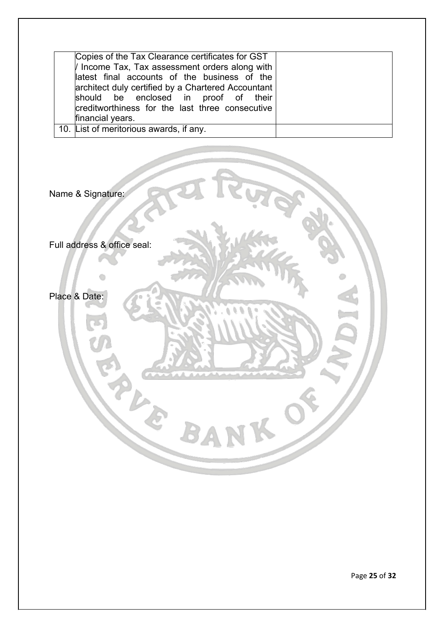| Copies of the Tax Clearance certificates for GST<br>I Income Tax, Tax assessment orders along with<br>latest final accounts of the business of the<br>architect duly certified by a Chartered Accountant<br>should be enclosed in proof of their<br>creditworthiness for the last three consecutive<br>financial years. |
|-------------------------------------------------------------------------------------------------------------------------------------------------------------------------------------------------------------------------------------------------------------------------------------------------------------------------|
| 10. List of meritorious awards, if any.                                                                                                                                                                                                                                                                                 |

BA

Name & Signature:

Full address & office seal:

Place & Date:

Page **25** of **32**

 $\delta$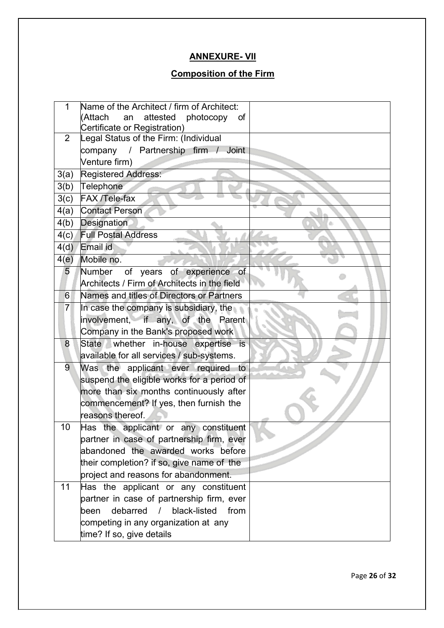## **ANNEXURE- VII**

## **Composition of the Firm**

<span id="page-26-1"></span><span id="page-26-0"></span>

| 1    | Name of the Architect / firm of Architect:                |  |
|------|-----------------------------------------------------------|--|
|      | <b>Attach</b><br>attested<br>photocopy<br>an<br><b>of</b> |  |
| 2    | Certificate or Registration)                              |  |
|      | Legal Status of the Firm: (Individual                     |  |
|      | company / Partnership firm / Joint                        |  |
|      | Venture firm)                                             |  |
| 3(a) | <b>Registered Address:</b>                                |  |
| 3(b) | Telephone                                                 |  |
| 3(c) | <b>FAX /Tele-fax</b>                                      |  |
| 4(a) | <b>Contact Person</b>                                     |  |
| 4(b) | Designation                                               |  |
| 4(c) | <b>Full Postal Address</b>                                |  |
| 4(d) | Email id                                                  |  |
| 4(e) | Mobile no.                                                |  |
| 5    | Number<br>of years of experience of                       |  |
|      | Architects / Firm of Architects in the field              |  |
| 6    | Names and titles of Directors or Partners                 |  |
| 7    | In case the company is subsidiary, the                    |  |
|      | involvement, if any, of the Parent                        |  |
|      | Company in the Bank's proposed work                       |  |
| 8    | State whether in-house expertise is                       |  |
|      | available for all services / sub-systems.                 |  |
| 9    | Was the applicant ever required to                        |  |
|      | suspend the eligible works for a period of                |  |
|      | more than six months continuously after                   |  |
|      | commencement? If yes, then furnish the                    |  |
|      | reasons thereof.                                          |  |
| 10   | Has the applicant or any constituent                      |  |
|      | partner in case of partnership firm, ever                 |  |
|      | abandoned the awarded works before                        |  |
|      | their completion? if so, give name of the                 |  |
|      | project and reasons for abandonment.                      |  |
| 11   | Has the applicant or any constituent                      |  |
|      | partner in case of partnership firm, ever                 |  |
|      | debarred<br>black-listed<br>from<br>been                  |  |
|      | competing in any organization at any                      |  |
|      | time? If so, give details                                 |  |
|      |                                                           |  |

Page **26** of **32**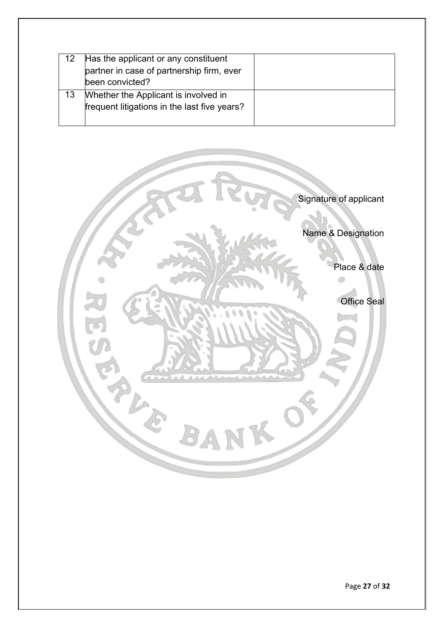| Has the applicant or any constituent<br>partner in case of partnership firm, ever<br>been convicted? |  |
|------------------------------------------------------------------------------------------------------|--|
| Whether the Applicant is involved in<br>frequent litigations in the last five years?                 |  |

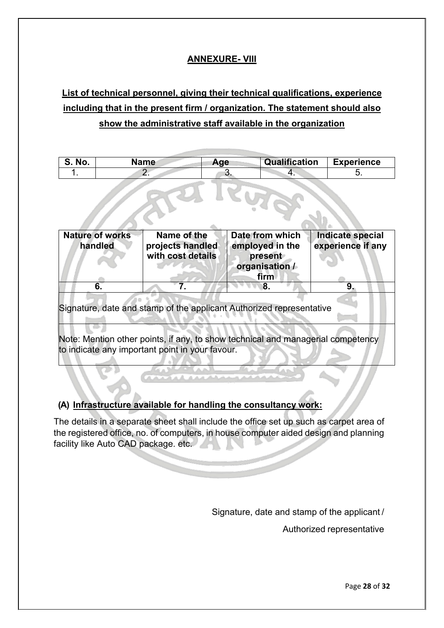## **ANNEXURE- VIII**

# <span id="page-28-1"></span><span id="page-28-0"></span>**List of technical personnel, giving their technical qualifications, experience including that in the present firm / organization. The statement should also show the administrative staff available in the organization**

| No. | Name | Age | Qualification | <b>Experience</b> |  |
|-----|------|-----|---------------|-------------------|--|
|     |      |     |               |                   |  |

| <b>Nature of works</b><br>handled                                                              | Name of the<br>projects handled<br>with cost details | Date from which<br>employed in the<br>present<br>organisation /<br>firm | <b>Indicate special</b><br>experience if any |  |  |  |  |  |
|------------------------------------------------------------------------------------------------|------------------------------------------------------|-------------------------------------------------------------------------|----------------------------------------------|--|--|--|--|--|
| 6.                                                                                             |                                                      | 8.                                                                      | 9.                                           |  |  |  |  |  |
| Signature, date and stamp of the applicant Authorized representative<br>$\cdot$ $\cdot$<br>. . |                                                      |                                                                         |                                              |  |  |  |  |  |

Note: Mention other points, if any, to show technical and managerial competency to indicate any important point in your favour.

#### **(A) Infrastructure available for handling the consultancy work:**

The details in a separate sheet shall include the office set up such as carpet area of the registered office, no. of computers, in house computer aided design and planning facility like Auto CAD package. etc.

Signature, date and stamp of the applicant /

Authorized representative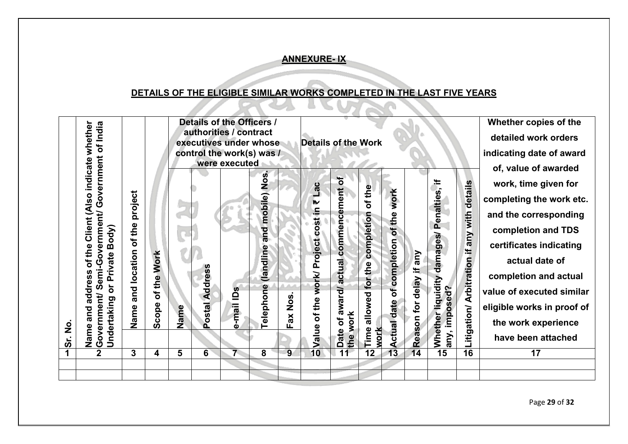#### **ANNEXURE- IX**

## **DETAILS OF THE ELIGIBLE SIMILAR WORKS COMPLETED IN THE LAST FIVE YEARS**

FAR

<span id="page-29-1"></span><span id="page-29-0"></span>

Page **29** of **32**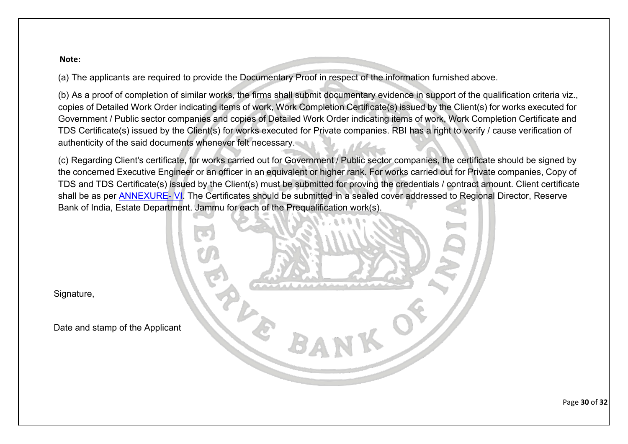#### **Note:**

(a) The applicants are required to provide the Documentary Proof in respect of the information furnished above.

(b) As a proof of completion of similar works, the firms shall submit documentary evidence in support of the qualification criteria viz., copies of Detailed Work Order indicating items of work, Work Completion Certificate(s) issued by the Client(s) for works executed for Government / Public sector companies and copies of Detailed Work Order indicating items of work, Work Completion Certificate and TDS Certificate(s) issued by the Client(s) for works executed for Private companies. RBI has a right to verify / cause verification of authenticity of the said documents whenever felt necessary.

(c) Regarding Client's certificate, for works carried out for Government / Public sector companies, the certificate should be signed by the concerned Executive Engineer or an officer in an equivalent or higher rank. For works carried out for Private companies, Copy of TDS and TDS Certificate(s) issued by the Client(s) must be submitted for proving the credentials / contract amount. Client certificate shall be as per [ANNEXURE-](#page-16-2) VI. The Certificates should be submitted in a sealed cover addressed to Regional Director, Reserve Bank of India, Estate Department. Jammu for each of the Prequalification work(s).



Signature,

Date and stamp of the Applicant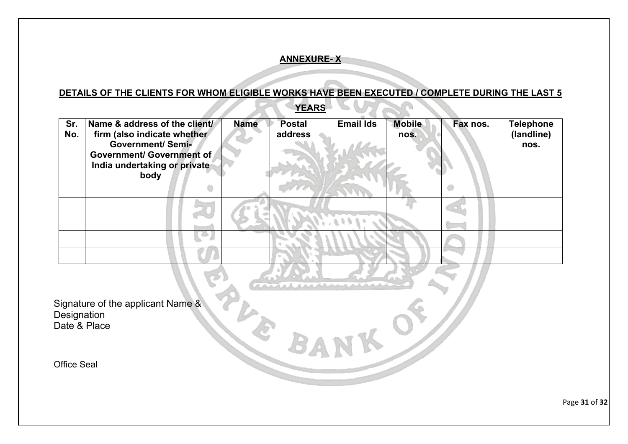#### **ANNEXURE- X**

### **DETAILS OF THE CLIENTS FOR WHOM ELIGIBLE WORKS HAVE BEEN EXECUTED / COMPLETE DURING THE LAST 5**

|            |                                                                                                                                                                      |             | __________               |                  |                       |          |                                        |
|------------|----------------------------------------------------------------------------------------------------------------------------------------------------------------------|-------------|--------------------------|------------------|-----------------------|----------|----------------------------------------|
| Sr.<br>No. | Name & address of the client/<br>firm (also indicate whether<br><b>Government/ Semi-</b><br><b>Government/ Government of</b><br>India undertaking or private<br>body | <b>Name</b> | <b>Postal</b><br>address | <b>Email Ids</b> | <b>Mobile</b><br>nos. | Fax nos. | <b>Telephone</b><br>(landline)<br>nos. |
|            |                                                                                                                                                                      |             |                          |                  |                       |          |                                        |
|            |                                                                                                                                                                      |             |                          |                  |                       |          |                                        |
|            |                                                                                                                                                                      |             |                          |                  |                       |          |                                        |
|            |                                                                                                                                                                      |             |                          |                  |                       |          |                                        |
|            |                                                                                                                                                                      |             |                          |                  |                       |          |                                        |

**YEARS**

<span id="page-31-1"></span><span id="page-31-0"></span>Signature of the applicant Name & Designation Date & Place

Office Seal

Page **31** of **32**